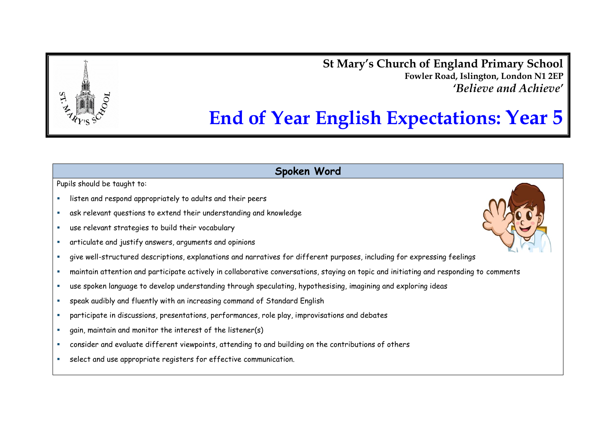**St Mary's Church of England Primary School Fowler Road, Islington, London N1 2EP** *'Believe and Achieve'*

# **End of Year English Expectations: Year 5**

#### **Spoken Word**

Pupils should be taught to:

- listen and respond appropriately to adults and their peers
- ask relevant questions to extend their understanding and knowledge
- use relevant strategies to build their vocabulary
- articulate and justify answers, arguments and opinions
- give well-structured descriptions, explanations and narratives for different purposes, including for expressing feelings
- maintain attention and participate actively in collaborative conversations, staying on topic and initiating and responding to comments
- use spoken language to develop understanding through speculating, hypothesising, imagining and exploring ideas
- speak audibly and fluently with an increasing command of Standard English
- participate in discussions, presentations, performances, role play, improvisations and debates
- gain, maintain and monitor the interest of the listener(s)
- consider and evaluate different viewpoints, attending to and building on the contributions of others
- select and use appropriate registers for effective communication.

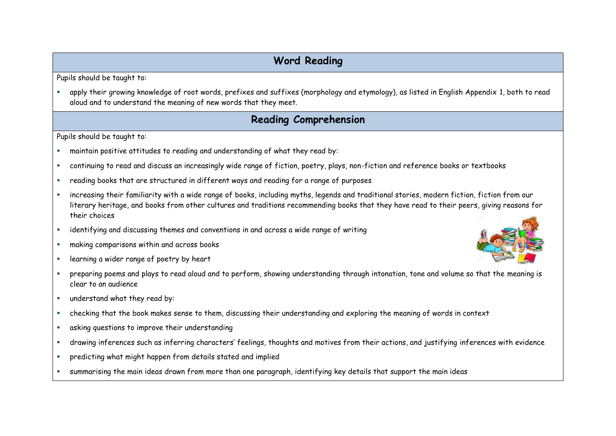## **Word Reading**

Pupils should be taught to:

 apply their growing knowledge of root words, prefixes and suffixes (morphology and etymology), as listed in English Appendix 1, both to read aloud and to understand the meaning of new words that they meet.

### **Reading Comprehension**

Pupils should be taught to:

- maintain positive attitudes to reading and understanding of what they read by:
- continuing to read and discuss an increasingly wide range of fiction, poetry, plays, non-fiction and reference books or textbooks
- reading books that are structured in different ways and reading for a range of purposes
- increasing their familiarity with a wide range of books, including myths, legends and traditional stories, modern fiction, fiction from our literary heritage, and books from other cultures and traditions recommending books that they have read to their peers, giving reasons for their choices
- identifying and discussing themes and conventions in and across a wide range of writing
- making comparisons within and across books
- learning a wider range of poetry by heart
- preparing poems and plays to read aloud and to perform, showing understanding through intonation, tone and volume so that the meaning is clear to an audience
- understand what they read by:
- checking that the book makes sense to them, discussing their understanding and exploring the meaning of words in context
- asking questions to improve their understanding
- drawing inferences such as inferring characters' feelings, thoughts and motives from their actions, and justifying inferences with evidence
- predicting what might happen from details stated and implied
- summarising the main ideas drawn from more than one paragraph, identifying key details that support the main ideas

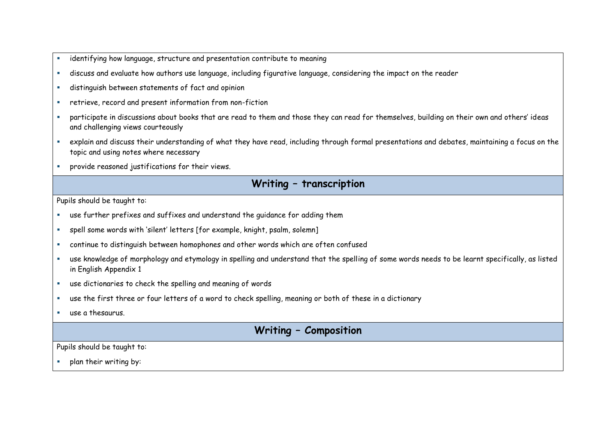- identifying how language, structure and presentation contribute to meaning
- discuss and evaluate how authors use language, including figurative language, considering the impact on the reader
- distinguish between statements of fact and opinion
- retrieve, record and present information from non-fiction
- participate in discussions about books that are read to them and those they can read for themselves, building on their own and others' ideas and challenging views courteously
- explain and discuss their understanding of what they have read, including through formal presentations and debates, maintaining a focus on the topic and using notes where necessary
- provide reasoned justifications for their views.

#### **Writing – transcription**

Pupils should be taught to:

- use further prefixes and suffixes and understand the guidance for adding them
- spell some words with 'silent' letters [for example, knight, psalm, solemn]
- continue to distinguish between homophones and other words which are often confused
- use knowledge of morphology and etymology in spelling and understand that the spelling of some words needs to be learnt specifically, as listed in English Appendix 1
- use dictionaries to check the spelling and meaning of words
- use the first three or four letters of a word to check spelling, meaning or both of these in a dictionary
- use a thesaurus.

#### **Writing – Composition**

Pupils should be taught to:

plan their writing by: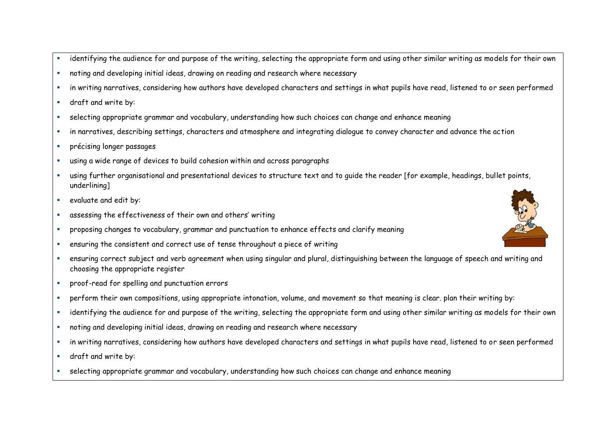- identifying the audience for and purpose of the writing, selecting the appropriate form and using other similar writing as models for their own
- noting and developing initial ideas, drawing on reading and research where necessary
- in writing narratives, considering how authors have developed characters and settings in what pupils have read, listened to or seen performed
- draft and write by:
- selecting appropriate grammar and vocabulary, understanding how such choices can change and enhance meaning
- in narratives, describing settings, characters and atmosphere and integrating dialogue to convey character and advance the action
- précising longer passages
- using a wide range of devices to build cohesion within and across paragraphs
- using further organisational and presentational devices to structure text and to guide the reader [for example, headings, bullet points, underlining]
- evaluate and edit by:
- assessing the effectiveness of their own and others' writing
- proposing changes to vocabulary, grammar and punctuation to enhance effects and clarify meaning
- ensuring the consistent and correct use of tense throughout a piece of writing
- ensuring correct subject and verb agreement when using singular and plural, distinguishing between the language of speech and writing and choosing the appropriate register
- proof-read for spelling and punctuation errors
- perform their own compositions, using appropriate intonation, volume, and movement so that meaning is clear. plan their writing by:
- identifying the audience for and purpose of the writing, selecting the appropriate form and using other similar writing as models for their own
- noting and developing initial ideas, drawing on reading and research where necessary
- in writing narratives, considering how authors have developed characters and settings in what pupils have read, listened to or seen performed
- draft and write by:
- selecting appropriate grammar and vocabulary, understanding how such choices can change and enhance meaning

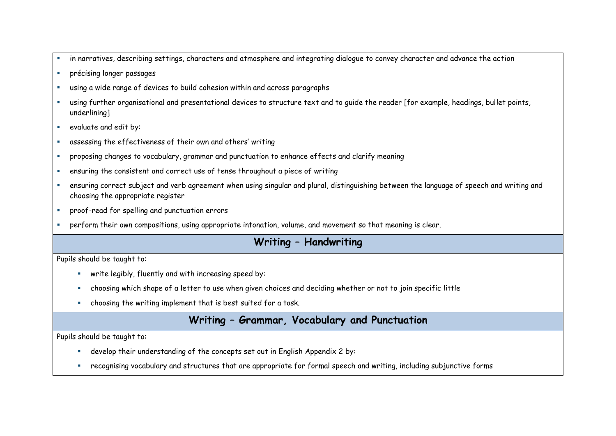- in narratives, describing settings, characters and atmosphere and integrating dialogue to convey character and advance the action
- précising longer passages
- using a wide range of devices to build cohesion within and across paragraphs
- using further organisational and presentational devices to structure text and to guide the reader [for example, headings, bullet points, underlining]
- evaluate and edit by:
- assessing the effectiveness of their own and others' writing
- proposing changes to vocabulary, grammar and punctuation to enhance effects and clarify meaning
- ensuring the consistent and correct use of tense throughout a piece of writing
- ensuring correct subject and verb agreement when using singular and plural, distinguishing between the language of speech and writing and choosing the appropriate register
- proof-read for spelling and punctuation errors
- perform their own compositions, using appropriate intonation, volume, and movement so that meaning is clear.

## **Writing – Handwriting**

Pupils should be taught to:

- write legibly, fluently and with increasing speed by:
- choosing which shape of a letter to use when given choices and deciding whether or not to join specific little
- choosing the writing implement that is best suited for a task.

#### **Writing – Grammar, Vocabulary and Punctuation**

Pupils should be taught to:

- develop their understanding of the concepts set out in English Appendix 2 by:
- recognising vocabulary and structures that are appropriate for formal speech and writing, including subjunctive forms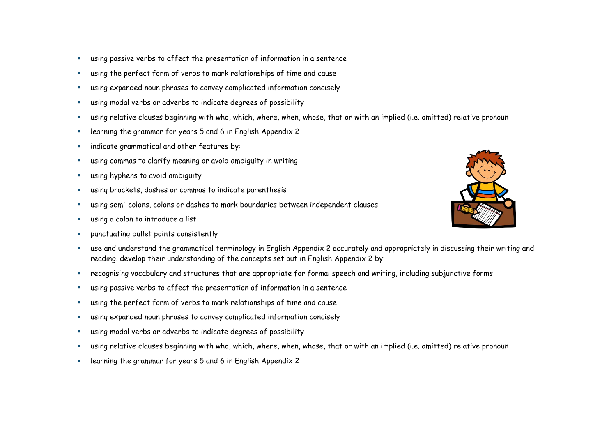- using passive verbs to affect the presentation of information in a sentence
- using the perfect form of verbs to mark relationships of time and cause
- using expanded noun phrases to convey complicated information concisely
- using modal verbs or adverbs to indicate degrees of possibility
- using relative clauses beginning with who, which, where, when, whose, that or with an implied (i.e. omitted) relative pronoun
- learning the grammar for years 5 and 6 in English Appendix 2
- **imation** indicate grammatical and other features by:
- using commas to clarify meaning or avoid ambiguity in writing
- using hyphens to avoid ambiguity
- using brackets, dashes or commas to indicate parenthesis
- using semi-colons, colons or dashes to mark boundaries between independent clauses
- using a colon to introduce a list
- punctuating bullet points consistently
- use and understand the grammatical terminology in English Appendix 2 accurately and appropriately in discussing their writing and reading. develop their understanding of the concepts set out in English Appendix 2 by:
- recognising vocabulary and structures that are appropriate for formal speech and writing, including subjunctive forms
- using passive verbs to affect the presentation of information in a sentence
- using the perfect form of verbs to mark relationships of time and cause
- using expanded noun phrases to convey complicated information concisely
- using modal verbs or adverbs to indicate degrees of possibility
- using relative clauses beginning with who, which, where, when, whose, that or with an implied (i.e. omitted) relative pronoun
- learning the grammar for years 5 and 6 in English Appendix 2